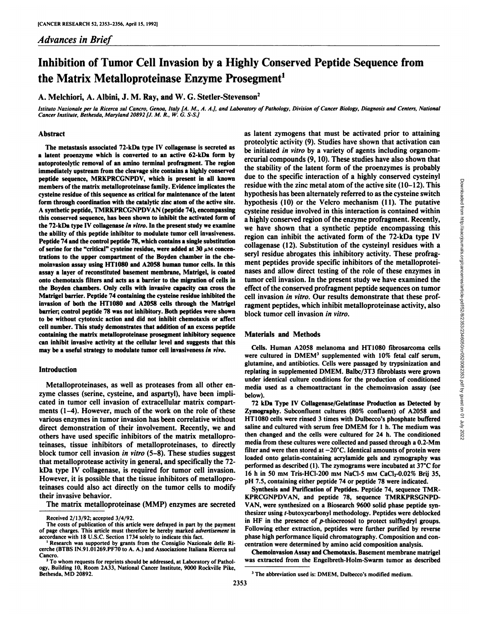# Inhibition of Tumor Cell Invasion by a Highly Conserved Peptide Sequence from the Matrix Metalloproteinase Enzyme Prosegment<sup>1</sup>

A. Melchiori, A. Albini, J. M. Ray, and W. G. Stetler-Stevenson2

Istituto Nazionale per la Ricerca sul Cancro, Genoa, Italy [A. M., A. A.], and Laboratory of Pathology, Division of Cancer Biology, Diagnosis and Centers, National *Cancer institute, Bethesda, Maryland 20892 [J. M. R., W. G. S-SJ*

## Abstract

The metastasis associated 72-kDa type IV collagenase is secreted as a latent proenzyme which is converted to an active 62-kDa form by autoproteolytic removal of an amino terminal profragment. The region immediately upstream from the cleavage site contains a highly conserved peptide sequence, MRKPRCGNPDV, which is present in all known members of the matrix metalloproteinase family. Evidence implicates the cysteine residue of this sequence as critical for maintenance of the latent form through coordination with the catalytic zinc atom of the active site. A synthetic peptide, TMRKPRCGNPDVAN (peptide 74), encompassing this conserved sequence, has been shown to inhibit the activated form of the 72-kDa type IV collagenase in vitro. In the present study we examine the ability of this peptide inhibitor to modulate tumor cell invasiveness. Peptide 74 and the control peptide 78, which contains a single substitution of serine for the "critical" cysteine residue, were added at 30  $\mu$ M concentrations to the upper compartment of the Boyden chamber in the chemoinvasion assay using HT1080 and A2058 human tumor cells. In this assay a layer of reconstituted basement membrane, Matrigel, is coated onto chemotaxis filters and acts as a barrier to the migration of cells in the Boyden chambers. Only cells with invasive capacity can cross the Matrigel barrier. Peptide 74 containing the cysteine residue inhibited the invasion of both the HT1080 and A2058 cells through the Matrigel barrier; control peptide 78 was not inhibitory. Both peptides were shown to be without cytotoxic action and did not inhibit chemotaxis or affect cell number. This study demonstrates that addition of an excess peptide containing the matrix metalloproteinase prosegment inhibitory sequence can inhibit invasive activity at the cellular level and suggests that this may be a useful strategy to modulate tumor cell invasiveness in vivo.

# Introduction

Metalloproteinases, as well as proteases from all other en zyme classes (serine, cysteine, and aspartyl), have been impli cated in tumor cell invasion of extracellular matrix compart ments (1-4). However, much of the work on the role of these various enzymes in tumor invasion has been correlative without direct demonstration of their involvement. Recently, we and others have used specific inhibitors of the matrix metalloproteinases, tissue inhibitors of metalloproteinases, to directly block tumor cell invasion *in vitro* (5–8). These studies suggest that metalloprotease activity in general, and specifically the 72-<br>herformed as described (1). The zymograms were incubated at 37°C for kDa type IV collagenase, is required for tumor cell invasion. However, it is possible that the tissue inhibitors of metallopro teinases could also act directly on the tumor cells to modify their invasive behavior.

The matrix metalloproteinase (MMP) enzymes are secreted

as latent zymogens that must be activated prior to attaining proteolytic activity (9). Studies have shown that activation can be initiated in vitro by a variety of agents including organomercurial compounds (9, 10). These studies have also shown that the stability of the latent form of the proenzymes is probably due to the specific interaction of a highly conserved cysteinyl residue with the zinc metal atom of the active site (10-12). This hypothesis has been alternately referred to as the cysteine switch hypothesis (10) or the Velcro mechanism (11). The putative cysteine residue involved in hypothesis has been alternately referred to as the cysteine switch hypothesis (10) or the Velcro mechanism (11). The putative cysteine residue involved in this interaction is contained within a highly conserved region of the enzyme profragment. Recently, we have shown that a synthetic peptide encompassing this region can inhibit the activated form of the 72-kDa type IV collagenase (12). Substitution of the cysteinyl residues with a seryl residue abrogates this inhibitory activity. These profrag ment peptides provide specific inhibitors of the metalloprotei nases and allow direct testing of the role of these enzymes in tumor cell invasion. In the present study we have examined the effect of the conserved profragment peptide sequences on tumor cell invasion in vitro. Our results demonstrate that these prof ragment peptides, which inhibit metalloproteinase activity, also block tumor cell invasion in vitro.

# Materials and Methods

Cells. Human A2058 melanoma and HT <sup>1080</sup> fibrosarcoma cells were cultured in DMEM' supplemented with 10% fetal calf serum, glutamine, and antibiotics. Cells were passaged by trypsinization and replating in supplemented DMEM. Balbc/3T3 fibroblasts were grown under identical culture conditions for the production of conditioned media used as a chemoattractant in the chemoinvasion assay (see below).

72 kDa Type IV Collagenase/Gelatinase Production as Detected by Zymography. Subconfluent cultures (80% confluent) of A2058 and HT 1080 cells were rinsed 3 times with Dulbecco's phosphate buffered saline and cultured with serum free DMEM for 1 h. The medium was then changed and the cells were cultured for 24 h. The conditioned media from these cultures were collected and passed through a 0.2-Mm filter and were then stored at  $-20^{\circ}$ C. Identical amounts of protein were loaded onto gelatin-containing acrylamide gels and zymography was 16 h in 50 mm Tris-HCl-200 mm NaCl-5 mm CaCl<sub>2</sub>-0.02% Brij 35, pH 7.5, containing either peptide 74 or peptide 78 were indicated.

Synthesis and Purification of Peptides. Peptide 74, sequence TMR KPRCGNPDVAN, and peptide 78, sequence TMRKPRSGNPD-VAN, were synthesized on a Biosearch 9600 solid phase peptide syn thesizer using r-butoxycarbonyl methodology. Peptides were deblocked in HF in the presence of  $p$ -thiocreosol to protect sulfhydryl groups. Following ether extraction, peptides were further purified by reverse phase high performance liquid chromatography. Composition and con centration were determined by amino acid composition analysis.

Chemoinvasion Assay and Chemotaxis. Basement membrane matrigel was extracted from the Engelbreth-Holm-Swarm tumor as described

Received 2/13/92; accepted 3/4/92.

The costs of publication of this article were defrayed in part by the payment of page charges. This article must therefore be hereby marked advertisement in accordance with 18 U.S.C. Section 1734 solely to indicate this fact.

<sup>&</sup>lt;sup>1</sup> Research was supported by grants from the Consiglio Nazionale delle Ricerche (BTBS IN.91.01269.PF70 to A. A.) and Associazione Italiana Ricerca sul Cancro.<br><sup>2</sup>To whom requests for reprints should be addressed, at Laboratory of Pathol-

ogy, Building 10, Room 2A33, National Cancer Institute, 9000 Rockville Pike, Bethesda, MD 20892.

<sup>&</sup>lt;sup>3</sup> The abbreviation used is: DMEM, Dulbecco's modified medium.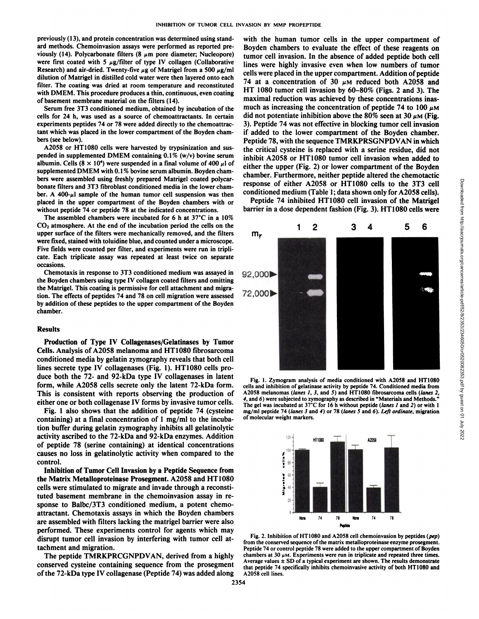previously (13), and protein concentration was determined using stand ard methods. Chemoinvasion assays were performed as reported pre viously (14). Polycarbonate filters (8  $\mu$ m pore diameter; Nucleopore) were first coated with 5  $\mu$ g/filter of type IV collagen (Collaborative Research) and air-dried. Twenty-five  $\mu$ g of Matrigel from a 500  $\mu$ g/ml dilution of Matrigel in distilled cold water were then layered onto each filter. The coating was dried at room temperature and reconstituted with DMEM. This procedure produces a thin, continuous, even coating of basement membrane material on the filters (14).

Serum free 3T3 conditioned medium, obtained by incubation of the cells for 24 h, was used as a source of chemoattractants. In certain experiments peptides 74 or 78 were added directly to the chemoattractant which was placed in the lower compartment of the Boyden cham bers (see below).

A2058 or HT1080 cells were harvested by trypsinization and sus pended in supplemented DMEM containing 0.1% (w/v) bovine serum albumin. Cells  $(8 \times 10^4)$  were suspended in a final volume of 400  $\mu$ l of supplemented DMEM with 0.1% bovine serum albumin. Boyden chambers were assembled using freshly prepared Matrigel coated polycar bonate filters and 3T3 fibroblast conditioned media in the lower cham ber. A  $400-\mu$ l sample of the human tumor cell suspension was then placed in the upper compartment of the Boyden chambers with or without peptide 74 or peptide 78 at the indicated concentrations.

The assembled chambers were incubated for 6 h at 37°C in a 10%  $CO<sub>2</sub>$  atmosphere. At the end of the incubation period the cells on the upper surface of the filters were mechanically removed, and the filters were fixed, stained with toluidine blue, and counted under a microscope. Five fields were counted per filter, and experiments were run in tripli cate. Each triplicate assay was repeated at least twice on separate occasions.

Chemotaxis in response to 3T3 conditioned medium was assayed in the Boyden chambers using type IV collagen coated filters and omitting the Matrigel. This coating is permissive for cell attachment and migra tion. The effects of peptides 74 and 78 on cell migration were assessed by addition of these peptides to the upper compartment of the Boyden chamber.

#### Results

Production of Type IV Collagenases/Gelatinases by Tumor Cells. Analysis of A2058 melanoma and HT 1080 fibrosarcoma conditioned media by gelatin zymography reveals that both cell lines secrete type IV collagenases (Fig. 1). HT 1080 cells pro duce both the 72- and 92-kDa type IV collagenases in latent form, while A2058 cells secrete only the latent 72-kDa form. This is consistent with reports observing the production of A2058 melanomas (lanes 1, 3, and 5) and HT1080 fibrosarcoma cells (lanes 2<br>either and an both calleganges IV forms by investigative tumor cells (and 6) were subje either one or both collagenase IV forms by invasive tumor cells.

Fig. 1 also shows that the addition of peptide 74 (cysteine containing) at a final concentration of 1 mg/ml to the incuba tion buffer during gelatin zymography inhibits all gelatinolytic activity ascribed to the 72-kDa and 92-kDa enzymes. Addition of peptide 78 (serine containing) at identical concentrations causes no loss in gelatinolytic activity when compared to the control.

Inhibition of Tumor Cell Invasion by a Peptide Sequence from the Matrix Metalloproteinase Prosegment. A2058 and HT1080 cells were stimulated to migrate and invade through a reconsti tuted basement membrane in the chemoinvasion assay in re sponse to Balbc/3T3 conditioned medium, a potent chemoattractant. Chemotaxis assays in which the Boyden chambers are assembled with filters lacking the matrigel barrier were also performed. These experiments control for agents which may disrupt tumor cell invasion by interfering with tumor cell at tachment and migration.

The peptide TMRKPRCGNPDVAN, derived from a highly conserved cysteine containing sequence from the prosegment of the 72-kDa type IV collagenase (Peptide 74) was added along

with the human tumor cells in the upper compartment of Boyden chambers to evaluate the effect of these reagents on tumor cell invasion. In the absence of added peptide both cell lines were highly invasive even when low numbers of tumor cells were placed in the upper compartment. Addition of peptide 74 at a concentration of 30  $\mu$ M reduced both A2058 and HT 1080 tumor cell invasion by 60-80% (Figs. 2 and 3). The maximal reduction was achieved by these concentrations inas much as increasing the concentration of peptide 74 to 100  $\mu$ M did not potentiate inhibition above the 80% seen at 30  $\mu$ M (Fig. 3). Peptide 74 was not effective in blocking tumor cell invasion if added to the lower compartment of the Boyden chamber. Peptide 78, with the sequence TMRKPRSGNPDVAN in which the critical cysteine is replaced with a serine residue, did not inhibit A2058 or HT1080 tumor cell invasion when added to either the upper (Fig. 2) or lower compartment of the Boyden response of either A2058 or HT 1080 cells to the 3T3 cell conditioned medium (Table 1; data shown only for A2058 cells).

Peptide 74 inhibited HT 1080 cell invasion of the Matrigel barrier in a dose dependent fashion (Fig. 3). HT1080 cells were



Fig. 1. Zymogram analysis of media conditioned with A20S8 and HT1080 cells and inhibition of gelatinase activity by peptide 74. Conditioned media from A2058 melanomas (lanes 1, 3, and 5) and HT1080 fibrosarcoma cells (lanes 2, The gel was incubated at  $37^{\circ}$ C for 16 h without peptide (lanes 1 and 2) or with 1 mg/ml peptide 74 (lanes 3 and 4) or 78 (lanes 5 and 6). Left ordinate, migration of molecular weight markers.



Fig. 2. Inhibition of HT1080 and A2058 cell chemoinvasion by peptides (pep) from the conserved sequence of the matrix metalloproteinase enzyme prosegment. Peptide 74 or control peptide 78 were added to the upper compartment of Boyden chambers at 30  $\mu$ M. Experiments were run in triplicate and repeated three times. Average values  $\pm$  SD of a typical experiment are shown. The results demonstrate that peptide 74 specifically inhibits chemoinvasive activity of both HT1080 and A2058 cell lines.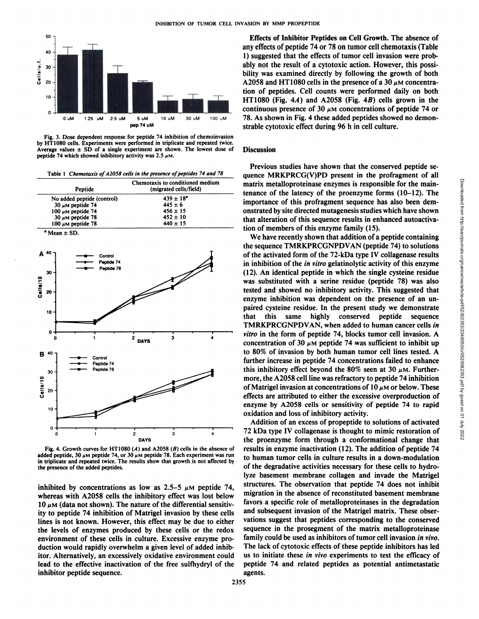

Fig. 3. Dose dependent response for peptide 74 inhibition of chemoinvasion by HT1080 cells. Experiments were performed in triplicate and repeated twice. Average values  $\pm$  SD of a single experiment are shown. The lowest dose of peptide 74 which showed inhibitory activity was 2.5  $\mu$ M.

|  | Table 1 Chemotaxis of A2058 cells in the presence of peptides 74 and 78 |  |
|--|-------------------------------------------------------------------------|--|
|--|-------------------------------------------------------------------------|--|



Fig. 4. Growth curves for HT1080  $(A)$  and A2058  $(B)$  cells in the absence of added peptide, 30  $\mu$ M peptide 74, or 30  $\mu$ M peptide 78. Each experiment was run in triplicate and repeated twice. The results show that growth is not affected by the presence of the added peptides.

inhibited by concentrations as low as 2.5–5  $\mu$ M peptide 74, whereas with A2058 cells the inhibitory effect was lost below  $10 \mu$ M (data not shown). The nature of the differential sensitivity to peptide 74 inhibition of Matrigel invasion by these cells lines is not known. However, this effect may be due to either the levels of enzymes produced by these cells or the redox environment of these cells in culture. Excessive enzyme pro duction would rapidly overwhelm a given level of added inhib itor. Alternatively, an excessively oxidative environment could lead to the effective inactivation of the free sulfhydryl of the inhibitor peptide sequence.

Effects of Inhibitor Peptides on Cell Growth. The absence of any effects of peptide 74 or 78 on tumor cell chemotaxis (Table 1) suggested that the effects of tumor cell invasion were prob ably not the result of a cytotoxic action. However, this possibility was examined directly by following the growth of both A2058 and HT1080 cells in the presence of a 30  $\mu$ M concentration of peptides. Cell counts were performed daily on both HT1080 (Fig.  $4A$ ) and A2058 (Fig.  $4B$ ) cells grown in the continuous presence of 30  $\mu$ M concentrations of peptide 74 or 78. As shown in Fig.4 these added peptides showed no demon strable cytotoxic effect during 96 h in cell culture.

## **Discussion**

Previous studies have shown that the conserved peptide se quence MRKPRCG(V)PD present in the profragment of all tenance of the latency of the proenzyme forms (10-12). The importance of this profragment sequence has also been dem onstrated by site directed mutagenesis studies which have shown that alteration of this sequence results in enhanced autoactivation of members of this enzyme family (15).

matrix metalloproteinase enzymes is responsible for the main-<br>tenance of the latency of the profengame formes (10-12). The<br>importance of this profragment sequence has also been dem-<br>onstrated by site directed mutagenessis We have recently shown that addition of a peptide containing the sequence TMRKPRCGNPDVAN (peptide 74) to solutions of the activated form of the 72-kDa type IV collagenase results in inhibition of the in vitro gelatinolytic activity of this enzyme (12). An identical peptide in which the single cysteine residue was substituted with a serine residue (peptide 78) was also tested and showed no inhibitory activity. This suggested that enzyme inhibition was dependent on the presence of an un paired cysteine residue. In the present study we demonstrate that this same highly conserved peptide sequence TMRKPRCGNPDVAN, when added to human cancer cells in *vitro in the form of peptide 74, blocks tumor cell invasion. A* concentration of 30  $\mu$ M peptide 74 was sufficient to inhibit up to 80% of invasion by both human tumor cell lines tested. A further increase in peptide 74 concentrations failed to enhance this inhibitory effect beyond the 80% seen at 30  $\mu$ M. Furthermore, the A2058 cell line was refractory to peptide 74 inhibition of Matrigel invasion at concentrations of  $10 \mu$ M or below. These effects are attributed to either the excessive overproduction of enzyme by A2058 cells or sensitivity of peptide 74 to rapid oxidation and loss of inhibitory activity.

Addition of an excess of propeptide to solutions of activated 72 kDa type IV collagenase is thought to mimic restoration of the proenzyme form through a conformational change that results in enzyme inactivation (12). The addition of peptide 74 to human tumor cells in culture results in a down-modulation of the degradative activities necessary for these cells to hydrolyze basement membrane collagen and invade the Matrigel structures. The observation that peptide 74 does not inhibit migration in the absence of reconstituted basement membrane favors a specific role of metalloproteinases in the degradation and subsequent invasion of the Matrigel matrix. These obser vations suggest that peptides corresponding to the conserved sequence in the prosegment of the matrix metalloproteinase family could be used as inhibitors of tumor cell invasion in vivo. The lack of cytotoxic effects of these peptide inhibitors has led us to initiate these in vivo experiments to test the efficacy of peptide 74 and related peptides as potential antimetastatic agents.